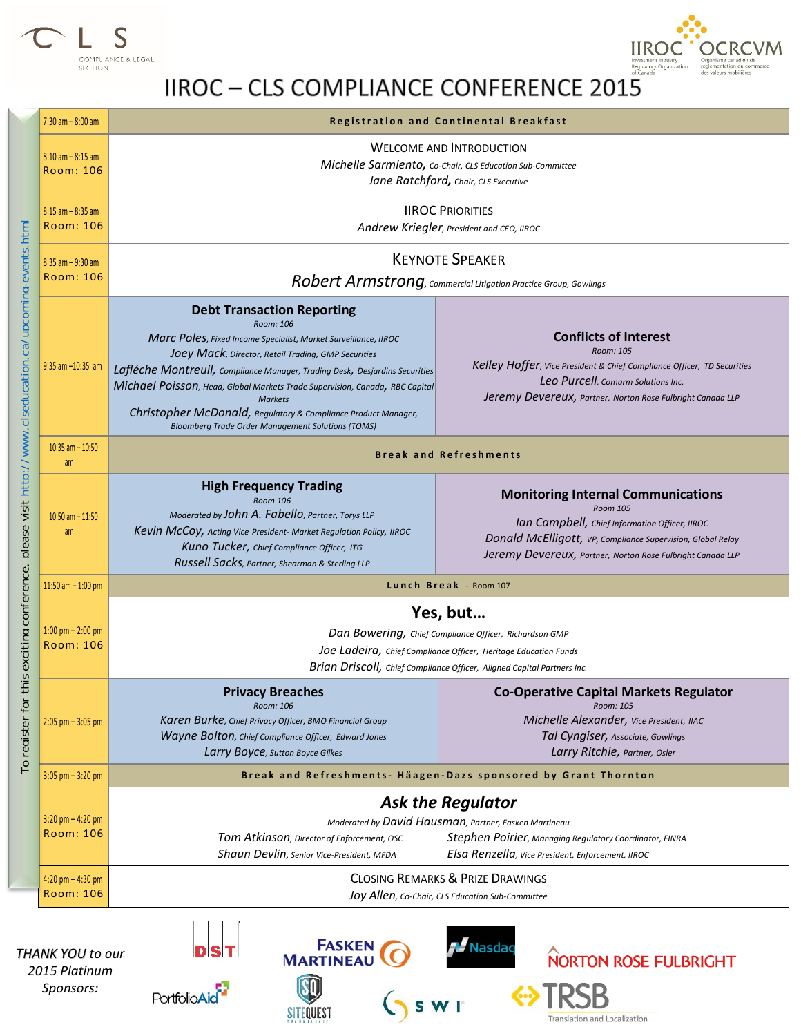



## IIROC - CLS COMPLIANCE CONFERENCE 2015

| $7:30$ am $-8:00$ am                      | <b>Registration and Continental Breakfast</b>                                                                                                                                                                                                                                                                                                                                                                                                                                           |                                                                                                                                                                                                                                      |
|-------------------------------------------|-----------------------------------------------------------------------------------------------------------------------------------------------------------------------------------------------------------------------------------------------------------------------------------------------------------------------------------------------------------------------------------------------------------------------------------------------------------------------------------------|--------------------------------------------------------------------------------------------------------------------------------------------------------------------------------------------------------------------------------------|
| $8:10$ am $-8:15$ am<br>Room: 106         | <b>WELCOME AND INTRODUCTION</b><br>Michelle Sarmiento, Co-Chair, CLS Education Sub-Committee<br>Jane Ratchford, Chair, CLS Executive                                                                                                                                                                                                                                                                                                                                                    |                                                                                                                                                                                                                                      |
| $8:15$ am $-8:35$ am<br>Room: 106         | <b>IIROC PRIORITIES</b><br>Andrew Kriegler, President and CEO, IIROC                                                                                                                                                                                                                                                                                                                                                                                                                    |                                                                                                                                                                                                                                      |
| $8:35$ am $-9:30$ am<br><b>Room: 106</b>  | <b>KEYNOTE SPEAKER</b><br>Robert Armstrong, Commercial Litigation Practice Group, Gowlings                                                                                                                                                                                                                                                                                                                                                                                              |                                                                                                                                                                                                                                      |
| $9:35$ am $-10:35$ am                     | <b>Debt Transaction Reporting</b><br>Room: 106<br>Marc Poles, Fixed Income Specialist, Market Surveillance, IIROC<br>JOPy Mack, Director, Retail Trading, GMP Securities<br>Lafléche Montreuil, Compliance Manager, Trading Desk, Desjardins Securities<br>Michael Poisson, Head, Global Markets Trade Supervision, Canada, RBC Capital<br><b>Markets</b><br>Christopher McDonald, Regulatory & Compliance Product Manager,<br><b>Bloomberg Trade Order Management Solutions (TOMS)</b> | <b>Conflicts of Interest</b><br>Room: 105<br>Kelley Hoffer, vice President & Chief Compliance Officer, TD Securities<br>Leo Purcell, Comarm Solutions Inc.<br>Jeremy Devereux, Partner, Norton Rose Fulbright Canada LLP             |
| $10:35$ am $- 10:50$<br>am                | <b>Break and Refreshments</b>                                                                                                                                                                                                                                                                                                                                                                                                                                                           |                                                                                                                                                                                                                                      |
| $10:50$ am $- 11:50$<br>am                | <b>High Frequency Trading</b><br><b>Room 106</b><br>Moderated by JOhn A. Fabello, Partner, Torys LLP<br>Kevin McCoy, Acting Vice President- Market Regulation Policy, IIROC<br>Kuno Tucker, Chief Compliance Officer, ITG<br>Russell Sacks, Partner, Shearman & Sterling LLP                                                                                                                                                                                                            | <b>Monitoring Internal Communications</b><br>Room 105<br>Ian Campbell, Chief Information Officer, IIROC<br>Donald McElligott, VP, Compliance Supervision, Global Relay<br>Jeremy Devereux, Partner, Norton Rose Fulbright Canada LLP |
| $11:50$ am $- 1:00$ pm                    | Lunch Break - Room 107                                                                                                                                                                                                                                                                                                                                                                                                                                                                  |                                                                                                                                                                                                                                      |
| 1:00 pm $- 2:00$ pm<br><b>Room: 106</b>   | Yes, but<br>Dan Bowering, Chief Compliance Officer, Richardson GMP<br>Joe Ladeira, Chief Compliance Officer, Heritage Education Funds<br>Brian Driscoll, Chief Compliance Officer, Aligned Capital Partners Inc.                                                                                                                                                                                                                                                                        |                                                                                                                                                                                                                                      |
| $2:05$ pm $-3:05$ pm                      | <b>Privacy Breaches</b><br>Room: 106<br>Karen Burke, Chief Privacy Officer, BMO Financial Group<br>Wayne Bolton, Chief Compliance Officer, Edward Jones<br>Larry Boyce, Sutton Boyce Gilkes                                                                                                                                                                                                                                                                                             | <b>Co-Operative Capital Markets Regulator</b><br>Room: 105<br>Michelle Alexander, Vice President, IIAC<br>Tal Cyngiser, Associate, Gowlings<br>Larry Ritchie, Partner, Osler                                                         |
| $3:05$ pm $-3:20$ pm                      | Break and Refreshments- Häagen-Dazs sponsored by Grant Thornton                                                                                                                                                                                                                                                                                                                                                                                                                         |                                                                                                                                                                                                                                      |
| $3:20$ pm $- 4:20$ pm<br>Room: 106        | <b>Ask the Regulator</b><br>Moderated by David Hausman, Partner, Fasken Martineau<br>Stephen Poirier, Managing Regulatory Coordinator, FINRA<br>Tom Atkinson, Director of Enforcement, OSC<br>Shaun Devlin, senior Vice-President, MFDA<br>Elsa Renzella, Vice President, Enforcement, IIROC                                                                                                                                                                                            |                                                                                                                                                                                                                                      |
| $4:20$ pm $- 4:30$ pm<br><b>Room: 106</b> | <b>CLOSING REMARKS &amp; PRIZE DRAWINGS</b><br>Joy Allen, Co-Chair, CLS Education Sub-Committee                                                                                                                                                                                                                                                                                                                                                                                         |                                                                                                                                                                                                                                      |

*2015 Platinum Sponsors:*







D

Translation and Localization

 $S$  s w r